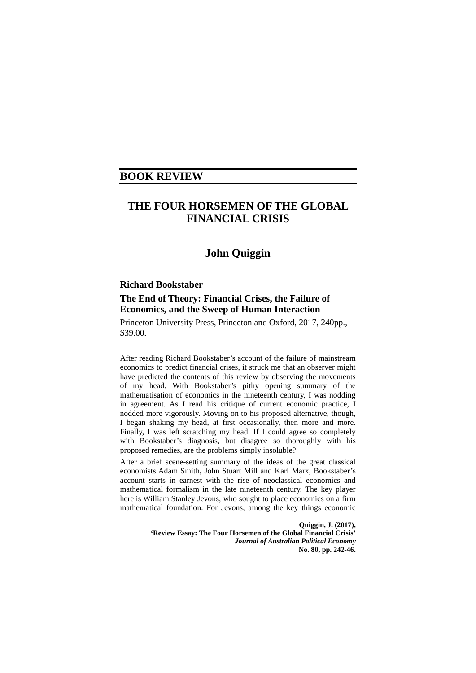## **BOOK REVIEW**

# **THE FOUR HORSEMEN OF THE GLOBAL FINANCIAL CRISIS**

## **John Quiggin**

### **Richard Bookstaber**

### **[The End of Theory: Financial Crises, the Failure of](http://press.princeton.edu/titles/10972.html)  [Economics, and the Sweep of Human Interaction](http://press.princeton.edu/titles/10972.html)**

Princeton University Press, Princeton and Oxford, 2017, 240pp., \$39.00.

After reading Richard Bookstaber's account of the failure of mainstream economics to predict financial crises, it struck me that an observer might have predicted the contents of this review by observing the movements of my head. With Bookstaber's pithy opening summary of the mathematisation of economics in the nineteenth century, I was nodding in agreement. As I read his critique of current economic practice, I nodded more vigorously. Moving on to his proposed alternative, though, I began shaking my head, at first occasionally, then more and more. Finally, I was left scratching my head. If I could agree so completely with Bookstaber's diagnosis, but disagree so thoroughly with his proposed remedies, are the problems simply insoluble?

After a brief scene-setting summary of the ideas of the great classical economists Adam Smith, John Stuart Mill and Karl Marx, Bookstaber's account starts in earnest with the rise of neoclassical economics and mathematical formalism in the late nineteenth century. The key player here is William Stanley Jevons, who sought to place economics on a firm mathematical foundation. For Jevons, among the key things economic

> **Quiggin, J. (2017), 'Review Essay: The Four Horsemen of the Global Financial Crisis'**  *Journal of Australian Political Economy* **No. 80, pp. 242-46.**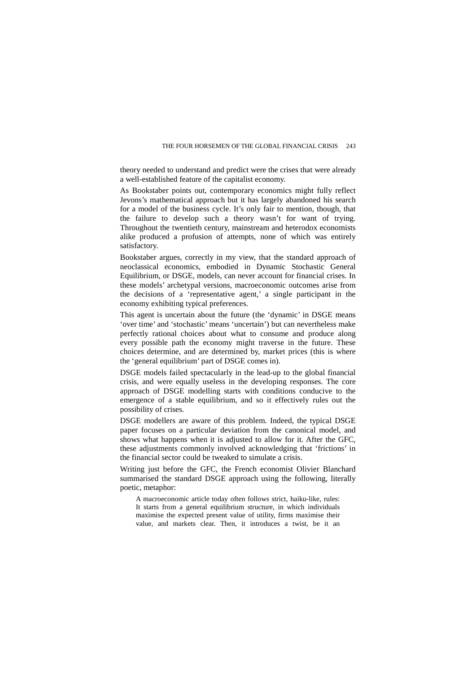#### THE FOUR HORSEMEN OF THE GLOBAL FINANCIAL CRISIS 243

theory needed to understand and predict were the crises that were already a well-established feature of the capitalist economy.

As Bookstaber points out, contemporary economics might fully reflect Jevons's mathematical approach but it has largely abandoned his search for a model of the business cycle. It's only fair to mention, though, that the failure to develop such a theory wasn't for want of trying. Throughout the twentieth century, mainstream and heterodox economists alike produced a profusion of attempts, none of which was entirely satisfactory.

Bookstaber argues, correctly in my view, that the standard approach of neoclassical economics, embodied in Dynamic Stochastic General Equilibrium, or DSGE, models, can never account for financial crises. In these models' archetypal versions, macroeconomic outcomes arise from the decisions of a 'representative agent,' a single participant in the economy exhibiting typical preferences.

This agent is uncertain about the future (the 'dynamic' in DSGE means 'over time' and 'stochastic' means 'uncertain') but can nevertheless make perfectly rational choices about what to consume and produce along every possible path the economy might traverse in the future. These choices determine, and are determined by, market prices (this is where the 'general equilibrium' part of DSGE comes in).

DSGE models failed spectacularly in the lead-up to the global financial crisis, and were equally useless in the developing responses. The core approach of DSGE modelling starts with conditions conducive to the emergence of a stable equilibrium, and so it effectively rules out the possibility of crises.

DSGE modellers are aware of this problem. Indeed, the typical DSGE paper focuses on a particular deviation from the canonical model, and shows what happens when it is adjusted to allow for it. After the GFC, these adjustments commonly involved acknowledging that 'frictions' in the financial sector could be tweaked to simulate a crisis.

Writing just before the GFC, the French economist Olivier Blanchard summarised the standard DSGE approach using the following, literally poetic, metaphor:

A macroeconomic article today often follows strict, haiku-like, rules: It starts from a general equilibrium structure, in which individuals maximise the expected present value of utility, firms maximise their value, and markets clear. Then, it introduces a twist, be it an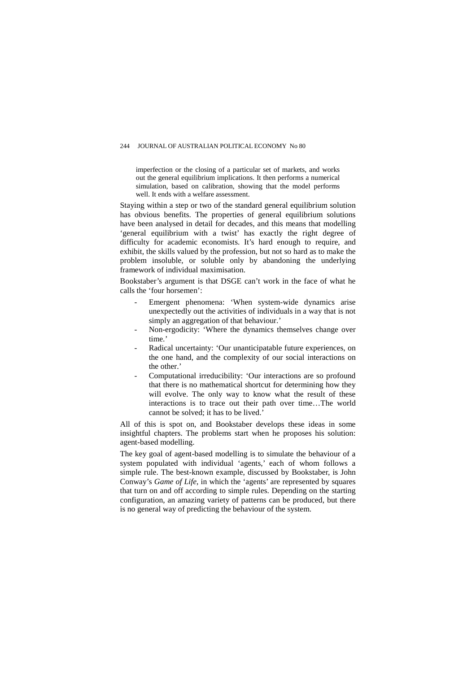#### 244 JOURNAL OF AUSTRALIAN POLITICAL ECONOMY No 80

imperfection or the closing of a particular set of markets, and works out the general equilibrium implications. It then performs a numerical simulation, based on calibration, showing that the model performs well. It ends with a welfare assessment.

Staying within a step or two of the standard general equilibrium solution has obvious benefits. The properties of general equilibrium solutions have been analysed in detail for decades, and this means that modelling 'general equilibrium with a twist' has exactly the right degree of difficulty for academic economists. It's hard enough to require, and exhibit, the skills valued by the profession, but not so hard as to make the problem insoluble, or soluble only by abandoning the underlying framework of individual maximisation.

Bookstaber's argument is that DSGE can't work in the face of what he calls the 'four horsemen':

- Emergent phenomena: 'When system-wide dynamics arise unexpectedly out the activities of individuals in a way that is not simply an aggregation of that behaviour.'
- Non-ergodicity: 'Where the dynamics themselves change over time.'
- Radical uncertainty: 'Our unanticipatable future experiences, on the one hand, and the complexity of our social interactions on the other.'
- Computational irreducibility: 'Our interactions are so profound that there is no mathematical shortcut for determining how they will evolve. The only way to know what the result of these interactions is to trace out their path over time…The world cannot be solved; it has to be lived.'

All of this is spot on, and Bookstaber develops these ideas in some insightful chapters. The problems start when he proposes his solution: agent-based modelling.

The key goal of agent-based modelling is to simulate the behaviour of a system populated with individual 'agents,' each of whom follows a simple rule. The best-known example, discussed by Bookstaber, is John Conway's *[Game of Life](https://en.wikipedia.org/wiki/Conway%27s_Game_of_Life)*, in which the 'agents' are represented by squares that turn on and off according to simple rules. Depending on the starting configuration, an amazing variety of patterns can be produced, but there is no general way of predicting the behaviour of the system.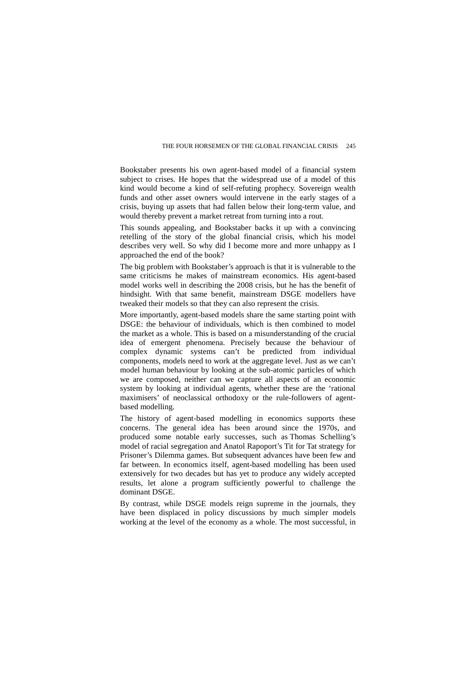#### THE FOUR HORSEMEN OF THE GLOBAL FINANCIAL CRISIS 245

Bookstaber presents his own agent-based model of a financial system subject to crises. He hopes that the widespread use of a model of this kind would become a kind of self-refuting prophecy. Sovereign wealth funds and other asset owners would intervene in the early stages of a crisis, buying up assets that had fallen below their long-term value, and would thereby prevent a market retreat from turning into a rout.

This sounds appealing, and Bookstaber backs it up with a convincing retelling of the story of the global financial crisis, which his model describes very well. So why did I become more and more unhappy as I approached the end of the book?

The big problem with Bookstaber's approach is that it is vulnerable to the same criticisms he makes of mainstream economics. His agent-based model works well in describing the 2008 crisis, but he has the benefit of hindsight. With that same benefit, mainstream DSGE modellers have tweaked their models so that they can also represent the crisis.

More importantly, agent-based models share the same starting point with DSGE: the behaviour of individuals, which is then combined to model the market as a whole. This is based on a misunderstanding of the crucial idea of emergent phenomena. Precisely because the behaviour of complex dynamic systems can't be predicted from individual components, models need to work at the aggregate level. Just as we can't model human behaviour by looking at the sub-atomic particles of which we are composed, neither can we capture all aspects of an economic system by looking at individual agents, whether these are the 'rational maximisers' of neoclassical orthodoxy or the rule-followers of agentbased modelling.

The history of agent-based modelling in economics supports these concerns. The general idea has been around since the 1970s, and produced some notable early successes, such as [Thomas Schelling'](https://en.wikipedia.org/wiki/Thomas_Schelling)s model of racial segregation and Anatol Rapoport's [Tit for Tat](https://en.wikipedia.org/wiki/Tit_for_tat) strategy for Prisoner's Dilemma games. But subsequent advances have been few and far between. In economics itself, agent-based modelling has been used extensively for two decades but has yet to produce any widely accepted results, let alone a program sufficiently powerful to challenge the dominant DSGE.

By contrast, while DSGE models reign supreme in the journals, they have been displaced in policy discussions by much simpler models working at the level of the economy as a whole. The most successful, in